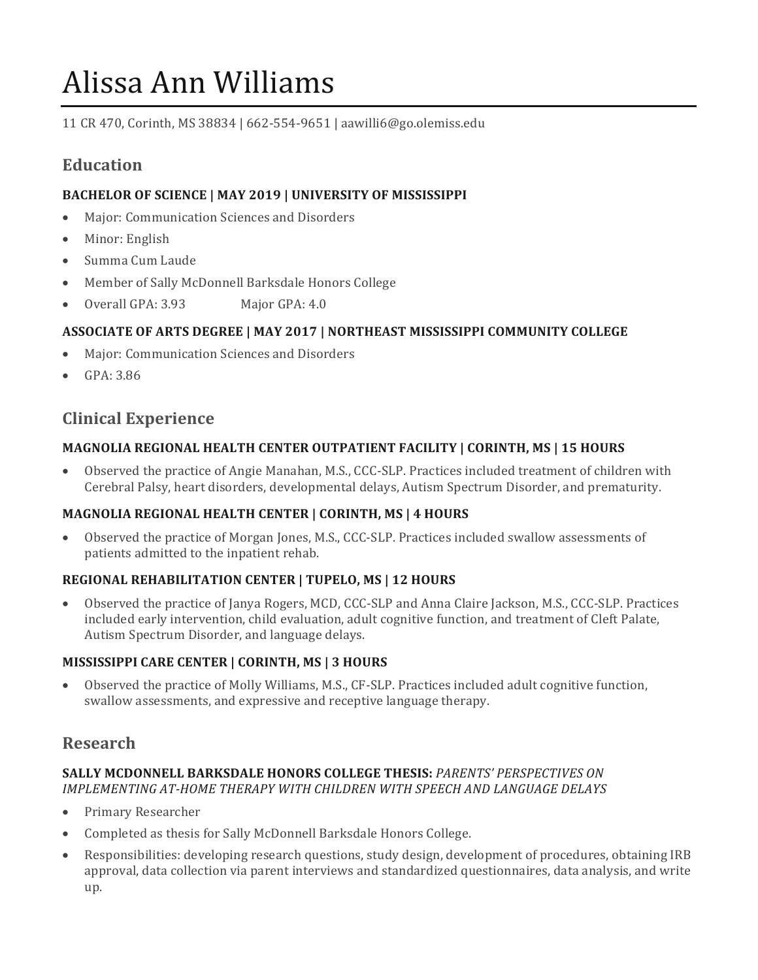# Alissa Ann Williams

11 CR 470, Corinth, MS 38834 | 662-554-9651 | aawilli6@go.olemiss.edu

# **Education**

### **BACHELOR OF SCIENCE | MAY 2019 | UNIVERSITY OF MISSISSIPPI**

- Major: Communication Sciences and Disorders
- Minor: English
- Summa Cum Laude
- Member of Sally McDonnell Barksdale Honors College
- Overall GPA: 3.93 Major GPA: 4.0

#### **ASSOCIATE OF ARTS DEGREE | MAY 2017 | NORTHEAST MISSISSIPPI COMMUNITY COLLEGE**

- Major: Communication Sciences and Disorders
- GPA: 3.86

# **Clinical Experience**

#### **MAGNOLIA REGIONAL HEALTH CENTER OUTPATIENT FACILITY | CORINTH, MS | 15 HOURS**

• Observed the practice of Angie Manahan, M.S., CCC-SLP. Practices included treatment of children with Cerebral Palsy, heart disorders, developmental delays, Autism Spectrum Disorder, and prematurity.

## **MAGNOLIA REGIONAL HEALTH CENTER | CORINTH, MS | 4 HOURS**

• Observed the practice of Morgan Jones, M.S., CCC-SLP. Practices included swallow assessments of patients admitted to the inpatient rehab.

#### **REGIONAL REHABILITATION CENTER | TUPELO, MS | 12 HOURS**

• Observed the practice of Janya Rogers, MCD, CCC-SLP and Anna Claire Jackson, M.S., CCC-SLP. Practices included early intervention, child evaluation, adult cognitive function, and treatment of Cleft Palate, Autism Spectrum Disorder, and language delays.

#### **MISSISSIPPI CARE CENTER | CORINTH, MS | 3 HOURS**

• Observed the practice of Molly Williams, M.S., CF-SLP. Practices included adult cognitive function, swallow assessments, and expressive and receptive language therapy.

## **Research**

#### **SALLY MCDONNELL BARKSDALE HONORS COLLEGE THESIS: PARENTS' PERSPECTIVES ON** *IMPLEMENTING AT-HOME THERAPY WITH CHILDREN WITH SPEECH AND LANGUAGE DELAYS*

- Primary Researcher
- Completed as thesis for Sally McDonnell Barksdale Honors College.
- Responsibilities: developing research questions, study design, development of procedures, obtaining IRB approval, data collection via parent interviews and standardized questionnaires, data analysis, and write up.